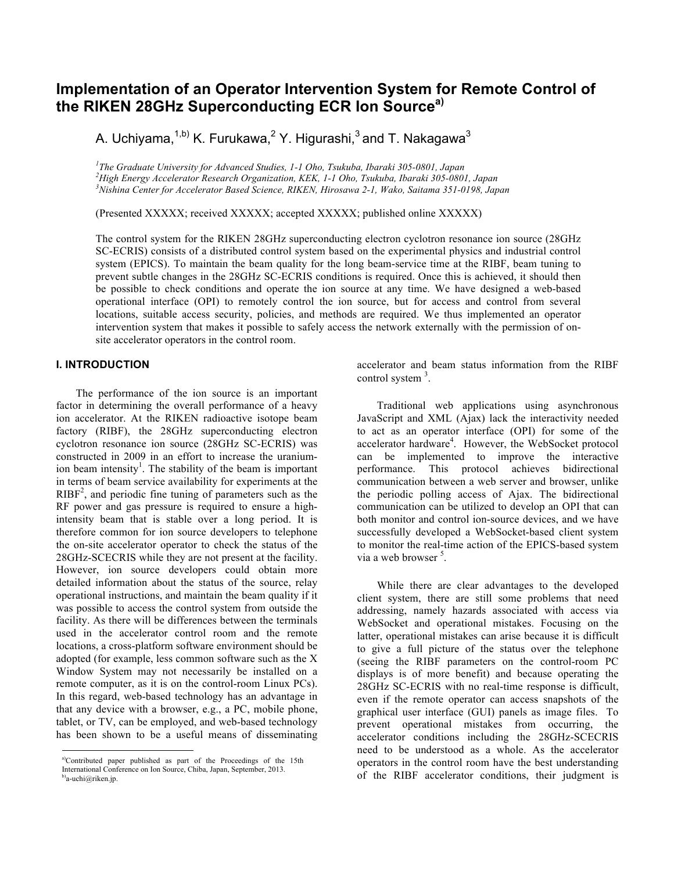# **Implementation of an Operator Intervention System for Remote Control of the RIKEN 28GHz Superconducting ECR Ion Sourcea)**

A. Uchiyama, $^{1, \text{b)}}$  K. Furukawa, $^2$  Y. Higurashi, $^3$  and T. Nakagawa $^3$ 

*1 The Graduate University for Advanced Studies, 1-1 Oho, Tsukuba, Ibaraki 305-0801, Japan <sup>2</sup> High Energy Accelerator Research Organization, KEK, 1-1 Oho, Tsukuba, Ibaraki 305-0801, Japan <sup>3</sup> Nishina Center for Accelerator Based Science, RIKEN, Hirosawa 2-1, Wako, Saitama 351-0198, Japan*

(Presented XXXXX; received XXXXX; accepted XXXXX; published online XXXXX)

The control system for the RIKEN 28GHz superconducting electron cyclotron resonance ion source (28GHz SC-ECRIS) consists of a distributed control system based on the experimental physics and industrial control system (EPICS). To maintain the beam quality for the long beam-service time at the RIBF, beam tuning to prevent subtle changes in the 28GHz SC-ECRIS conditions is required. Once this is achieved, it should then be possible to check conditions and operate the ion source at any time. We have designed a web-based operational interface (OPI) to remotely control the ion source, but for access and control from several locations, suitable access security, policies, and methods are required. We thus implemented an operator intervention system that makes it possible to safely access the network externally with the permission of onsite accelerator operators in the control room.

#### **I. INTRODUCTION**

The performance of the ion source is an important factor in determining the overall performance of a heavy ion accelerator. At the RIKEN radioactive isotope beam factory (RIBF), the 28GHz superconducting electron cyclotron resonance ion source (28GHz SC-ECRIS) was constructed in 2009 in an effort to increase the uraniumion beam intensity<sup>1</sup>. The stability of the beam is important in terms of beam service availability for experiments at the  $RIBF<sup>2</sup>$ , and periodic fine tuning of parameters such as the RF power and gas pressure is required to ensure a highintensity beam that is stable over a long period. It is therefore common for ion source developers to telephone the on-site accelerator operator to check the status of the 28GHz-SCECRIS while they are not present at the facility. However, ion source developers could obtain more detailed information about the status of the source, relay operational instructions, and maintain the beam quality if it was possible to access the control system from outside the facility. As there will be differences between the terminals used in the accelerator control room and the remote locations, a cross-platform software environment should be adopted (for example, less common software such as the X Window System may not necessarily be installed on a remote computer, as it is on the control-room Linux PCs). In this regard, web-based technology has an advantage in that any device with a browser, e.g., a PC, mobile phone, tablet, or TV, can be employed, and web-based technology has been shown to be a useful means of disseminating

accelerator and beam status information from the RIBF control system<sup>3</sup>.

Traditional web applications using asynchronous JavaScript and XML (Ajax) lack the interactivity needed to act as an operator interface (OPI) for some of the accelerator hardware<sup>4</sup>. However, the WebSocket protocol can be implemented to improve the interactive performance. This protocol achieves bidirectional communication between a web server and browser, unlike the periodic polling access of Ajax. The bidirectional communication can be utilized to develop an OPI that can both monitor and control ion-source devices, and we have successfully developed a WebSocket-based client system to monitor the real-time action of the EPICS-based system via a web browser<sup>5</sup>.

While there are clear advantages to the developed client system, there are still some problems that need addressing, namely hazards associated with access via WebSocket and operational mistakes. Focusing on the latter, operational mistakes can arise because it is difficult to give a full picture of the status over the telephone (seeing the RIBF parameters on the control-room PC displays is of more benefit) and because operating the 28GHz SC-ECRIS with no real-time response is difficult, even if the remote operator can access snapshots of the graphical user interface (GUI) panels as image files. To prevent operational mistakes from occurring, the accelerator conditions including the 28GHz-SCECRIS need to be understood as a whole. As the accelerator operators in the control room have the best understanding of the RIBF accelerator conditions, their judgment is

a)Contributed paper published as part of the Proceedings of the 15th International Conference on Ion Source, Chiba, Japan, September, 2013.  $b)$ a-uchi@riken.jp.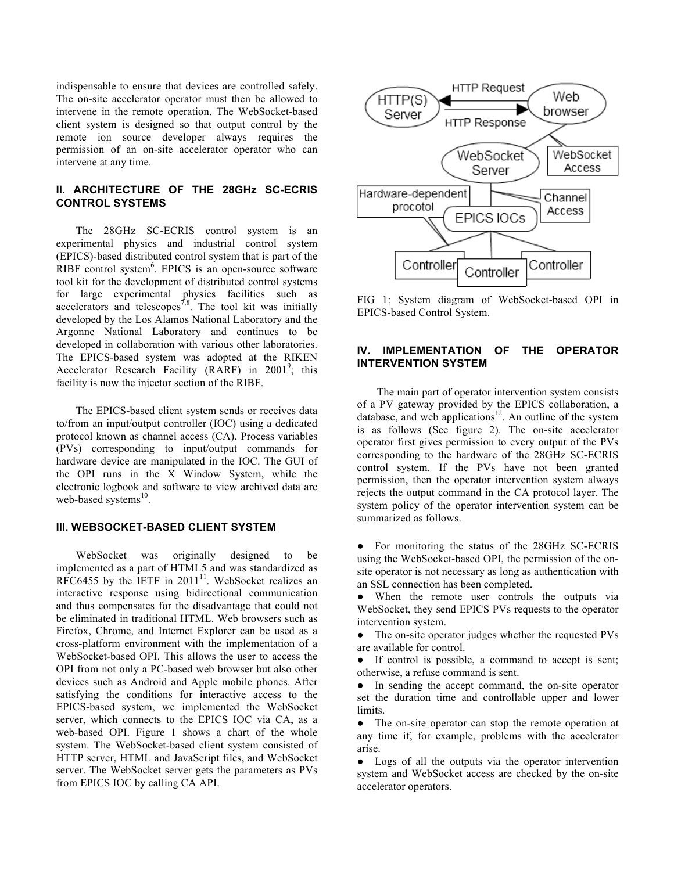indispensable to ensure that devices are controlled safely. The on-site accelerator operator must then be allowed to intervene in the remote operation. The WebSocket-based client system is designed so that output control by the remote ion source developer always requires the permission of an on-site accelerator operator who can intervene at any time.

# **II. ARCHITECTURE OF THE 28GHz SC-ECRIS CONTROL SYSTEMS**

The 28GHz SC-ECRIS control system is an experimental physics and industrial control system (EPICS)-based distributed control system that is part of the RIBF control system<sup>6</sup>. EPICS is an open-source software tool kit for the development of distributed control systems for large experimental physics facilities such as accelerators and telescopes<sup>7,8</sup>. The tool kit was initially developed by the Los Alamos National Laboratory and the Argonne National Laboratory and continues to be developed in collaboration with various other laboratories. The EPICS-based system was adopted at the RIKEN Accelerator Research Facility (RARF) in  $2001^9$ ; this facility is now the injector section of the RIBF.

The EPICS-based client system sends or receives data to/from an input/output controller (IOC) using a dedicated protocol known as channel access (CA). Process variables (PVs) corresponding to input/output commands for hardware device are manipulated in the IOC. The GUI of the OPI runs in the X Window System, while the electronic logbook and software to view archived data are web-based systems<sup>10</sup>.

# **III. WEBSOCKET-BASED CLIENT SYSTEM**

WebSocket was originally designed to be implemented as a part of HTML5 and was standardized as RFC6455 by the IETF in  $2011^{11}$ . WebSocket realizes an interactive response using bidirectional communication and thus compensates for the disadvantage that could not be eliminated in traditional HTML. Web browsers such as Firefox, Chrome, and Internet Explorer can be used as a cross-platform environment with the implementation of a WebSocket-based OPI. This allows the user to access the OPI from not only a PC-based web browser but also other devices such as Android and Apple mobile phones. After satisfying the conditions for interactive access to the EPICS-based system, we implemented the WebSocket server, which connects to the EPICS IOC via CA, as a web-based OPI. Figure 1 shows a chart of the whole system. The WebSocket-based client system consisted of HTTP server, HTML and JavaScript files, and WebSocket server. The WebSocket server gets the parameters as PVs from EPICS IOC by calling CA API.



FIG 1: System diagram of WebSocket-based OPI in EPICS-based Control System.

## **IV. IMPLEMENTATION OF THE OPERATOR INTERVENTION SYSTEM**

The main part of operator intervention system consists of a PV gateway provided by the EPICS collaboration, a database, and web applications<sup>12</sup>. An outline of the system is as follows (See figure 2). The on-site accelerator operator first gives permission to every output of the PVs corresponding to the hardware of the 28GHz SC-ECRIS control system. If the PVs have not been granted permission, then the operator intervention system always rejects the output command in the CA protocol layer. The system policy of the operator intervention system can be summarized as follows.

● For monitoring the status of the 28GHz SC-ECRIS using the WebSocket-based OPI, the permission of the onsite operator is not necessary as long as authentication with an SSL connection has been completed.

● When the remote user controls the outputs via WebSocket, they send EPICS PVs requests to the operator intervention system.

● The on-site operator judges whether the requested PVs are available for control.

● If control is possible, a command to accept is sent; otherwise, a refuse command is sent.

In sending the accept command, the on-site operator set the duration time and controllable upper and lower limits.

● The on-site operator can stop the remote operation at any time if, for example, problems with the accelerator arise.

● Logs of all the outputs via the operator intervention system and WebSocket access are checked by the on-site accelerator operators.